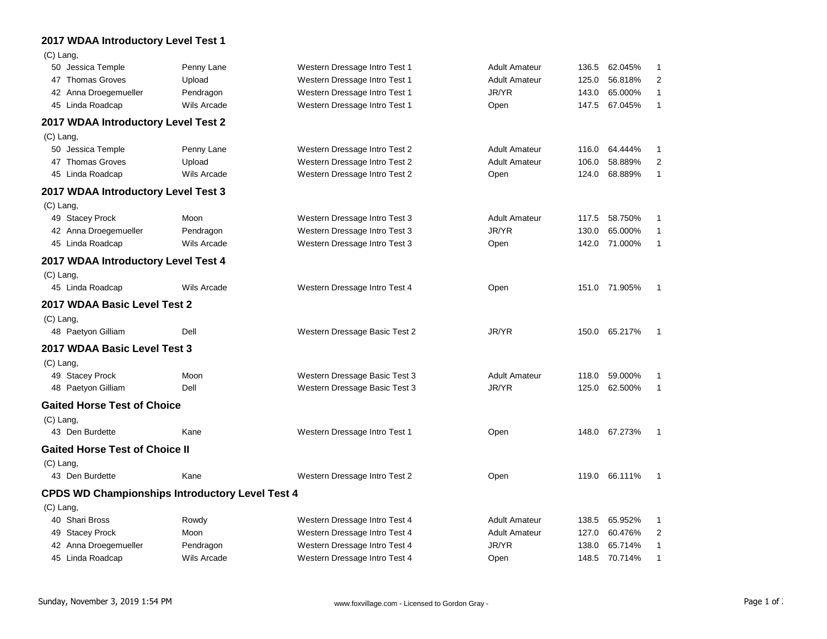## **2017 WDAA Introductory Level Test 1**

 $(C)$  Lang

| $(v)$ Lang                                             |                    |                               |                      |       |               |                |
|--------------------------------------------------------|--------------------|-------------------------------|----------------------|-------|---------------|----------------|
| 50 Jessica Temple                                      | Penny Lane         | Western Dressage Intro Test 1 | <b>Adult Amateur</b> | 136.5 | 62.045%       | 1              |
| 47 Thomas Groves                                       | Upload             | Western Dressage Intro Test 1 | <b>Adult Amateur</b> | 125.0 | 56.818%       | $\overline{2}$ |
| 42 Anna Droegemueller                                  | Pendragon          | Western Dressage Intro Test 1 | JR/YR                | 143.0 | 65.000%       | 1              |
| 45 Linda Roadcap                                       | <b>Wils Arcade</b> | Western Dressage Intro Test 1 | Open                 | 147.5 | 67.045%       | 1              |
| 2017 WDAA Introductory Level Test 2                    |                    |                               |                      |       |               |                |
| $(C)$ Lang,                                            |                    |                               |                      |       |               |                |
| 50 Jessica Temple                                      | Penny Lane         | Western Dressage Intro Test 2 | <b>Adult Amateur</b> | 116.0 | 64.444%       | 1              |
| 47 Thomas Groves                                       | Upload             | Western Dressage Intro Test 2 | <b>Adult Amateur</b> | 106.0 | 58.889%       | 2              |
| 45 Linda Roadcap                                       | <b>Wils Arcade</b> | Western Dressage Intro Test 2 | Open                 | 124.0 | 68.889%       | 1              |
| 2017 WDAA Introductory Level Test 3                    |                    |                               |                      |       |               |                |
| $(C)$ Lang,                                            |                    |                               |                      |       |               |                |
| 49 Stacey Prock                                        | Moon               | Western Dressage Intro Test 3 | <b>Adult Amateur</b> | 117.5 | 58.750%       | 1              |
| 42 Anna Droegemueller                                  | Pendragon          | Western Dressage Intro Test 3 | JR/YR                | 130.0 | 65.000%       | 1              |
| 45 Linda Roadcap                                       | Wils Arcade        | Western Dressage Intro Test 3 | Open                 | 142.0 | 71.000%       | 1              |
| 2017 WDAA Introductory Level Test 4                    |                    |                               |                      |       |               |                |
| $(C)$ Lang,                                            |                    |                               |                      |       |               |                |
| 45 Linda Roadcap                                       | Wils Arcade        | Western Dressage Intro Test 4 | Open                 |       | 151.0 71.905% | 1              |
| 2017 WDAA Basic Level Test 2                           |                    |                               |                      |       |               |                |
| $(C)$ Lang,                                            |                    |                               |                      |       |               |                |
| 48 Paetyon Gilliam                                     | Dell               | Western Dressage Basic Test 2 | JR/YR                |       | 150.0 65.217% | -1             |
| 2017 WDAA Basic Level Test 3                           |                    |                               |                      |       |               |                |
| $(C)$ Lang,                                            |                    |                               |                      |       |               |                |
| 49 Stacey Prock                                        | Moon               | Western Dressage Basic Test 3 | <b>Adult Amateur</b> | 118.0 | 59.000%       | 1              |
| 48 Paetyon Gilliam                                     | Dell               | Western Dressage Basic Test 3 | JR/YR                | 125.0 | 62.500%       | 1              |
| <b>Gaited Horse Test of Choice</b>                     |                    |                               |                      |       |               |                |
| $(C)$ Lang,                                            |                    |                               |                      |       |               |                |
| 43 Den Burdette                                        | Kane               | Western Dressage Intro Test 1 | Open                 |       | 148.0 67.273% | 1              |
| <b>Gaited Horse Test of Choice II</b>                  |                    |                               |                      |       |               |                |
| $(C)$ Lang,                                            |                    |                               |                      |       |               |                |
| 43 Den Burdette                                        | Kane               | Western Dressage Intro Test 2 | Open                 | 119.0 | 66.111%       | 1              |
| <b>CPDS WD Championships Introductory Level Test 4</b> |                    |                               |                      |       |               |                |
| $(C)$ Lang,                                            |                    |                               |                      |       |               |                |
| 40 Shari Bross                                         | Rowdy              | Western Dressage Intro Test 4 | <b>Adult Amateur</b> | 138.5 | 65.952%       | 1              |
| 49 Stacey Prock                                        | Moon               | Western Dressage Intro Test 4 | <b>Adult Amateur</b> | 127.0 | 60.476%       | $\overline{2}$ |
| 42 Anna Droegemueller                                  | Pendragon          | Western Dressage Intro Test 4 | JR/YR                | 138.0 | 65.714%       | 1              |
| 45 Linda Roadcap                                       | Wils Arcade        | Western Dressage Intro Test 4 | Open                 | 148.5 | 70.714%       | 1              |